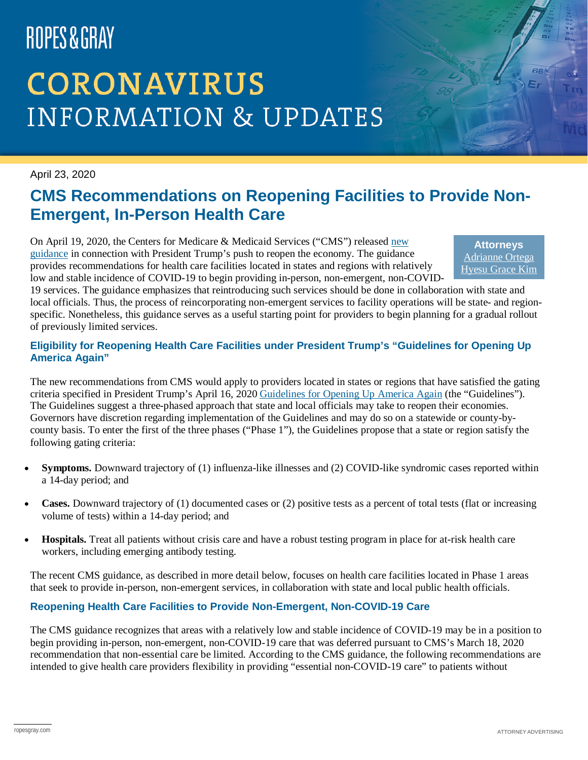# ROPES&GRAY

# **CORONAVIRUS INFORMATION & UPDATES**

### April 23, 2020

### **CMS Recommendations on Reopening Facilities to Provide Non-Emergent, In-Person Health Care**

On April 19, 2020, the Centers for Medicare & Medicaid Services ("CMS") released [new](https://www.cms.gov/files/document/covid-flexibility-reopen-essential-non-covid-services.pdf)  [guidance](https://www.cms.gov/files/document/covid-flexibility-reopen-essential-non-covid-services.pdf) in connection with President Trump's push to reopen the economy. The guidance provides recommendations for health care facilities located in states and regions with relatively low and stable incidence of COVID-19 to begin providing in-person, non-emergent, non-COVID-

**Attorneys** [Adrianne Ortega](https://www.ropesgray.com/en/biographies/o/adrianne-ortega) [Hyesu Grace Kim](https://www.ropesgray.com/en/biographies/k/hyesu-kim)

19 services. The guidance emphasizes that reintroducing such services should be done in collaboration with state and local officials. Thus, the process of reincorporating non-emergent services to facility operations will be state- and regionspecific. Nonetheless, this guidance serves as a useful starting point for providers to begin planning for a gradual rollout of previously limited services.

### **Eligibility for Reopening Health Care Facilities under President Trump's "Guidelines for Opening Up America Again"**

The new recommendations from CMS would apply to providers located in states or regions that have satisfied the gating criteria specified in President Trump's April 16, 202[0 Guidelines for Opening Up America Again](https://www.whitehouse.gov/openingamerica/) (the "Guidelines"). The Guidelines suggest a three-phased approach that state and local officials may take to reopen their economies. Governors have discretion regarding implementation of the Guidelines and may do so on a statewide or county-bycounty basis. To enter the first of the three phases ("Phase 1"), the Guidelines propose that a state or region satisfy the following gating criteria:

- **Symptoms.** Downward trajectory of (1) influenza-like illnesses and (2) COVID-like syndromic cases reported within a 14-day period; and
- **Cases.** Downward trajectory of (1) documented cases or (2) positive tests as a percent of total tests (flat or increasing volume of tests) within a 14-day period; and
- **Hospitals.** Treat all patients without crisis care and have a robust testing program in place for at-risk health care workers, including emerging antibody testing.

The recent CMS guidance, as described in more detail below, focuses on health care facilities located in Phase 1 areas that seek to provide in-person, non-emergent services, in collaboration with state and local public health officials.

### **Reopening Health Care Facilities to Provide Non-Emergent, Non-COVID-19 Care**

The CMS guidance recognizes that areas with a relatively low and stable incidence of COVID-19 may be in a position to begin providing in-person, non-emergent, non-COVID-19 care that was deferred pursuant to CMS's March 18, 2020 recommendation that non-essential care be limited. According to the CMS guidance, the following recommendations are intended to give health care providers flexibility in providing "essential non-COVID-19 care" to patients without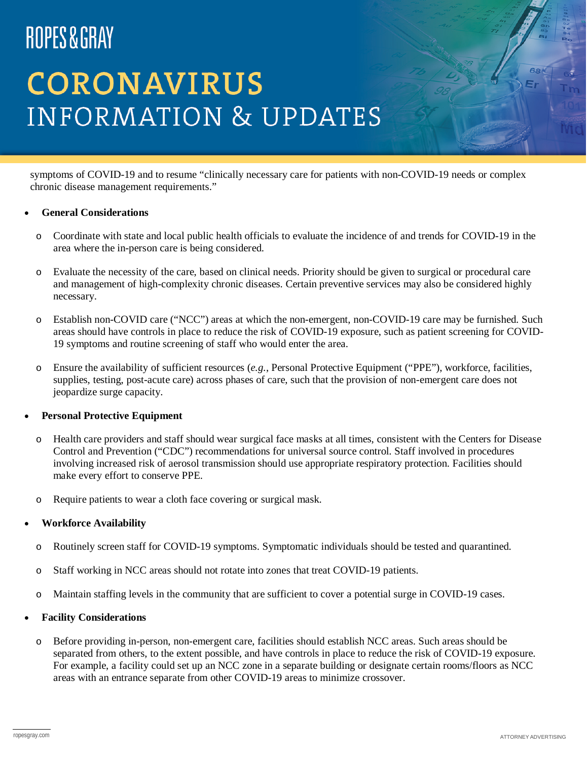## ROPES&GRAY

# **CORONAVIRUS INFORMATION & UPDATES**

symptoms of COVID-19 and to resume "clinically necessary care for patients with non-COVID-19 needs or complex chronic disease management requirements."

### • **General Considerations**

- o Coordinate with state and local public health officials to evaluate the incidence of and trends for COVID-19 in the area where the in-person care is being considered.
- o Evaluate the necessity of the care, based on clinical needs. Priority should be given to surgical or procedural care and management of high-complexity chronic diseases. Certain preventive services may also be considered highly necessary.
- o Establish non-COVID care ("NCC") areas at which the non-emergent, non-COVID-19 care may be furnished. Such areas should have controls in place to reduce the risk of COVID-19 exposure, such as patient screening for COVID-19 symptoms and routine screening of staff who would enter the area.
- o Ensure the availability of sufficient resources (*e.g.*, Personal Protective Equipment ("PPE"), workforce, facilities, supplies, testing, post-acute care) across phases of care, such that the provision of non-emergent care does not jeopardize surge capacity.

#### • **Personal Protective Equipment**

- o Health care providers and staff should wear surgical face masks at all times, consistent with the Centers for Disease Control and Prevention ("CDC") recommendations for universal source control. Staff involved in procedures involving increased risk of aerosol transmission should use appropriate respiratory protection. Facilities should make every effort to conserve PPE.
- o Require patients to wear a cloth face covering or surgical mask.

#### • **Workforce Availability**

- o Routinely screen staff for COVID-19 symptoms. Symptomatic individuals should be tested and quarantined.
- o Staff working in NCC areas should not rotate into zones that treat COVID-19 patients.
- o Maintain staffing levels in the community that are sufficient to cover a potential surge in COVID-19 cases.

#### • **Facility Considerations**

o Before providing in-person, non-emergent care, facilities should establish NCC areas. Such areas should be separated from others, to the extent possible, and have controls in place to reduce the risk of COVID-19 exposure. For example, a facility could set up an NCC zone in a separate building or designate certain rooms/floors as NCC areas with an entrance separate from other COVID-19 areas to minimize crossover.